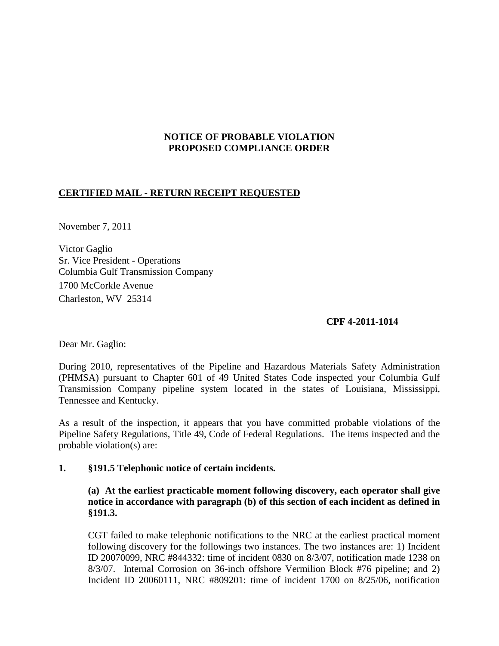## **NOTICE OF PROBABLE VIOLATION PROPOSED COMPLIANCE ORDER**

# **CERTIFIED MAIL - RETURN RECEIPT REQUESTED**

November 7, 2011

Victor Gaglio Sr. Vice President - Operations Columbia Gulf Transmission Company 1700 McCorkle Avenue Charleston, WV 25314

## **CPF 4-2011-1014**

Dear Mr. Gaglio:

During 2010, representatives of the Pipeline and Hazardous Materials Safety Administration (PHMSA) pursuant to Chapter 601 of 49 United States Code inspected your Columbia Gulf Transmission Company pipeline system located in the states of Louisiana, Mississippi, Tennessee and Kentucky.

As a result of the inspection, it appears that you have committed probable violations of the Pipeline Safety Regulations, Title 49, Code of Federal Regulations. The items inspected and the probable violation(s) are:

## **1. §191.5 Telephonic notice of certain incidents.**

# **(a) At the earliest practicable moment following discovery, each operator shall give notice in accordance with paragraph (b) of this section of each incident as defined in §191.3.**

CGT failed to make telephonic notifications to the NRC at the earliest practical moment following discovery for the followings two instances. The two instances are: 1) Incident ID 20070099, NRC #844332: time of incident 0830 on 8/3/07, notification made 1238 on 8/3/07. Internal Corrosion on 36-inch offshore Vermilion Block #76 pipeline; and 2) Incident ID 20060111, NRC #809201: time of incident 1700 on 8/25/06, notification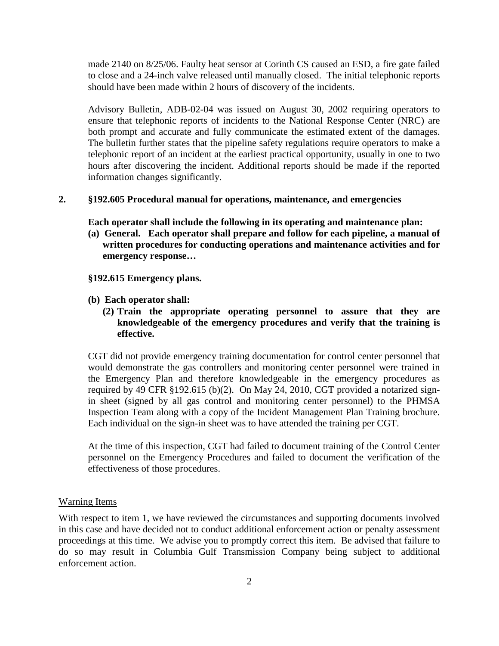made 2140 on 8/25/06. Faulty heat sensor at Corinth CS caused an ESD, a fire gate failed to close and a 24-inch valve released until manually closed. The initial telephonic reports should have been made within 2 hours of discovery of the incidents.

Advisory Bulletin, ADB-02-04 was issued on August 30, 2002 requiring operators to ensure that telephonic reports of incidents to the National Response Center (NRC) are both prompt and accurate and fully communicate the estimated extent of the damages. The bulletin further states that the pipeline safety regulations require operators to make a telephonic report of an incident at the earliest practical opportunity, usually in one to two hours after discovering the incident. Additional reports should be made if the reported information changes significantly.

### **2. §192.605 Procedural manual for operations, maintenance, and emergencies**

**Each operator shall include the following in its operating and maintenance plan:**

**(a) General. Each operator shall prepare and follow for each pipeline, a manual of written procedures for conducting operations and maintenance activities and for emergency response…** 

#### **§192.615 Emergency plans.**

- **(b) Each operator shall:**
	- **(2) Train the appropriate operating personnel to assure that they are knowledgeable of the emergency procedures and verify that the training is effective.**

CGT did not provide emergency training documentation for control center personnel that would demonstrate the gas controllers and monitoring center personnel were trained in the Emergency Plan and therefore knowledgeable in the emergency procedures as required by 49 CFR §192.615 (b)(2). On May 24, 2010, CGT provided a notarized signin sheet (signed by all gas control and monitoring center personnel) to the PHMSA Inspection Team along with a copy of the Incident Management Plan Training brochure. Each individual on the sign-in sheet was to have attended the training per CGT.

At the time of this inspection, CGT had failed to document training of the Control Center personnel on the Emergency Procedures and failed to document the verification of the effectiveness of those procedures.

### Warning Items

With respect to item 1, we have reviewed the circumstances and supporting documents involved in this case and have decided not to conduct additional enforcement action or penalty assessment proceedings at this time. We advise you to promptly correct this item. Be advised that failure to do so may result in Columbia Gulf Transmission Company being subject to additional enforcement action.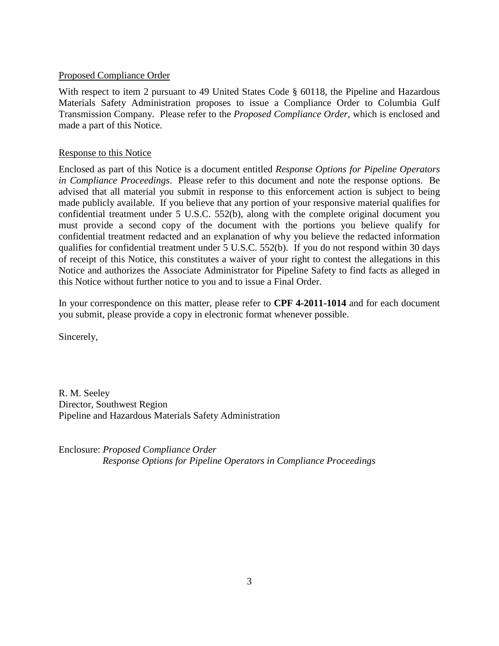### Proposed Compliance Order

With respect to item 2 pursuant to 49 United States Code § 60118, the Pipeline and Hazardous Materials Safety Administration proposes to issue a Compliance Order to Columbia Gulf Transmission Company. Please refer to the *Proposed Compliance Order*, which is enclosed and made a part of this Notice.

### Response to this Notice

Enclosed as part of this Notice is a document entitled *Response Options for Pipeline Operators in Compliance Proceedings*. Please refer to this document and note the response options. Be advised that all material you submit in response to this enforcement action is subject to being made publicly available. If you believe that any portion of your responsive material qualifies for confidential treatment under 5 U.S.C. 552(b), along with the complete original document you must provide a second copy of the document with the portions you believe qualify for confidential treatment redacted and an explanation of why you believe the redacted information qualifies for confidential treatment under 5 U.S.C. 552(b). If you do not respond within 30 days of receipt of this Notice, this constitutes a waiver of your right to contest the allegations in this Notice and authorizes the Associate Administrator for Pipeline Safety to find facts as alleged in this Notice without further notice to you and to issue a Final Order.

In your correspondence on this matter, please refer to **CPF 4-2011-1014** and for each document you submit, please provide a copy in electronic format whenever possible.

Sincerely,

R. M. Seeley Director, Southwest Region Pipeline and Hazardous Materials Safety Administration

Enclosure: *Proposed Compliance Order Response Options for Pipeline Operators in Compliance Proceedings*